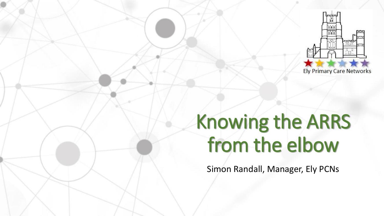

# Knowing the ARRS from the elbow

Simon Randall, Manager, Ely PCNs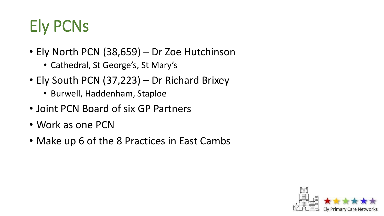# Ely PCNs

- Ely North PCN (38,659) Dr Zoe Hutchinson
	- Cathedral, St George's, St Mary's
- Ely South PCN (37,223) Dr Richard Brixey
	- Burwell, Haddenham, Staploe
- Joint PCN Board of six GP Partners
- Work as one PCN
- Make up 6 of the 8 Practices in East Cambs

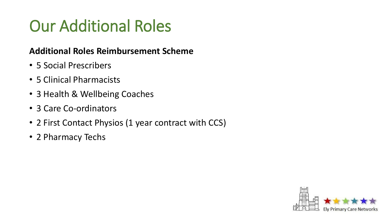### Our Additional Roles

#### **Additional Roles Reimbursement Scheme**

- 5 Social Prescribers
- 5 Clinical Pharmacists
- 3 Health & Wellbeing Coaches
- 3 Care Co-ordinators
- 2 First Contact Physios (1 year contract with CCS)
- 2 Pharmacy Techs

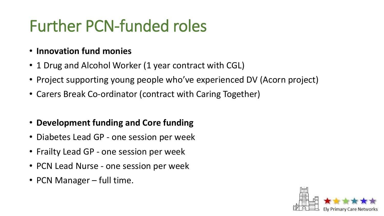## Further PCN-funded roles

- **Innovation fund monies**
- 1 Drug and Alcohol Worker (1 year contract with CGL)
- Project supporting young people who've experienced DV (Acorn project)
- Carers Break Co-ordinator (contract with Caring Together)
- **Development funding and Core funding**
- Diabetes Lead GP one session per week
- Frailty Lead GP one session per week
- PCN Lead Nurse one session per week
- PCN Manager full time.

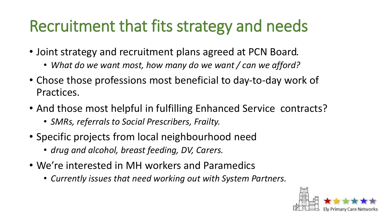#### Recruitment that fits strategy and needs

- Joint strategy and recruitment plans agreed at PCN Board*.* 
	- *What do we want most, how many do we want / can we afford?*
- Chose those professions most beneficial to day-to-day work of Practices.
- And those most helpful in fulfilling Enhanced Service contracts?
	- *SMRs, referrals to Social Prescribers, Frailty.*
- Specific projects from local neighbourhood need
	- *drug and alcohol, breast feeding, DV, Carers.*
- We're interested in MH workers and Paramedics
	- *Currently issues that need working out with System Partners.*

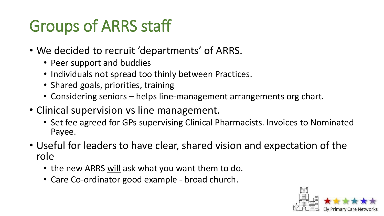## Groups of ARRS staff

- We decided to recruit 'departments' of ARRS.
	- Peer support and buddies
	- Individuals not spread too thinly between Practices.
	- Shared goals, priorities, training
	- Considering seniors helps line-management arrangements org chart.
- Clinical supervision vs line management.
	- Set fee agreed for GPs supervising Clinical Pharmacists. Invoices to Nominated Payee.
- Useful for leaders to have clear, shared vision and expectation of the role
	- the new ARRS will ask what you want them to do.
	- Care Co-ordinator good example broad church.

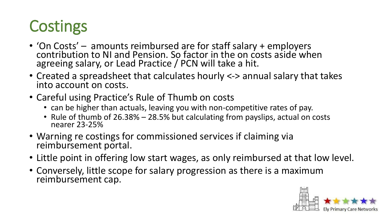### **Costings**

- 'On Costs' amounts reimbursed are for staff salary + employers contribution to NI and Pension. So factor in the on costs aside when agreeing salary, or Lead Practice / PCN will take a hit.
- Created a spreadsheet that calculates hourly <-> annual salary that takes into account on costs.
- Careful using Practice's Rule of Thumb on costs
	- can be higher than actuals, leaving you with non-competitive rates of pay.
	- Rule of thumb of 26.38% 28.5% but calculating from payslips, actual on costs nearer 23-25%
- Warning re costings for commissioned services if claiming via reimbursement portal.
- Little point in offering low start wages, as only reimbursed at that low level.
- Conversely, little scope for salary progression as there is a maximum reimbursement cap.

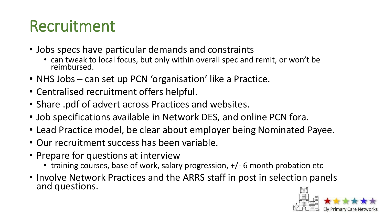#### Recruitment

- Jobs specs have particular demands and constraints
	- can tweak to local focus, but only within overall spec and remit, or won't be reimbursed.
- NHS Jobs can set up PCN 'organisation' like a Practice.
- Centralised recruitment offers helpful.
- Share .pdf of advert across Practices and websites.
- Job specifications available in Network DES, and online PCN fora.
- Lead Practice model, be clear about employer being Nominated Payee.
- Our recruitment success has been variable.
- Prepare for questions at interview
	- training courses, base of work, salary progression, +/- 6 month probation etc
- Involve Network Practices and the ARRS staff in post in selection panels and questions.

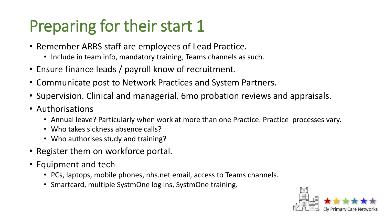#### Preparing for their start 1

- Remember ARRS staff are employees of Lead Practice.
	- Include in team info, mandatory training, Teams channels as such.
- Ensure finance leads / payroll know of recruitment.
- Communicate post to Network Practices and System Partners.
- Supervision. Clinical and managerial. 6mo probation reviews and appraisals.
- Authorisations
	- Annual leave? Particularly when work at more than one Practice. Practice processes vary.
	- Who takes sickness absence calls?
	- Who authorises study and training?
- Register them on workforce portal.
- Equipment and tech
	- PCs, laptops, mobile phones, nhs.net email, access to Teams channels.
	- Smartcard, multiple SystmOne log ins, SystmOne training.

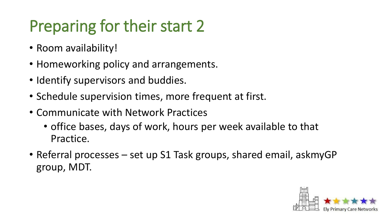## Preparing for their start 2

- Room availability!
- Homeworking policy and arrangements.
- Identify supervisors and buddies.
- Schedule supervision times, more frequent at first.
- Communicate with Network Practices
	- office bases, days of work, hours per week available to that Practice.
- Referral processes set up S1 Task groups, shared email, askmyGP group, MDT.

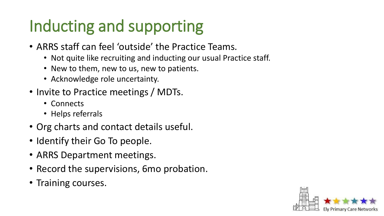### Inducting and supporting

- ARRS staff can feel 'outside' the Practice Teams.
	- Not quite like recruiting and inducting our usual Practice staff.
	- New to them, new to us, new to patients.
	- Acknowledge role uncertainty.
- Invite to Practice meetings / MDTs.
	- Connects
	- Helps referrals
- Org charts and contact details useful.
- Identify their Go To people.
- ARRS Department meetings.
- Record the supervisions, 6mo probation.
- Training courses.

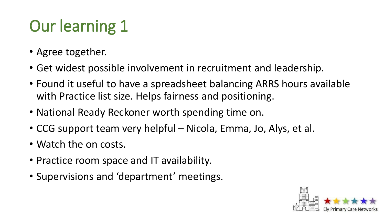# Our learning 1

- Agree together.
- Get widest possible involvement in recruitment and leadership.
- Found it useful to have a spreadsheet balancing ARRS hours available with Practice list size. Helps fairness and positioning.
- National Ready Reckoner worth spending time on.
- CCG support team very helpful Nicola, Emma, Jo, Alys, et al.
- Watch the on costs.
- Practice room space and IT availability.
- Supervisions and 'department' meetings.

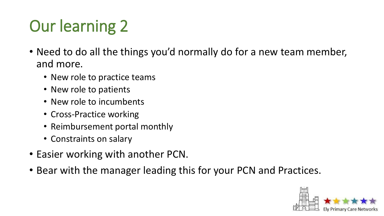# Our learning 2

- Need to do all the things you'd normally do for a new team member, and more.
	- New role to practice teams
	- New role to patients
	- New role to incumbents
	- Cross-Practice working
	- Reimbursement portal monthly
	- Constraints on salary
- Easier working with another PCN.
- Bear with the manager leading this for your PCN and Practices.